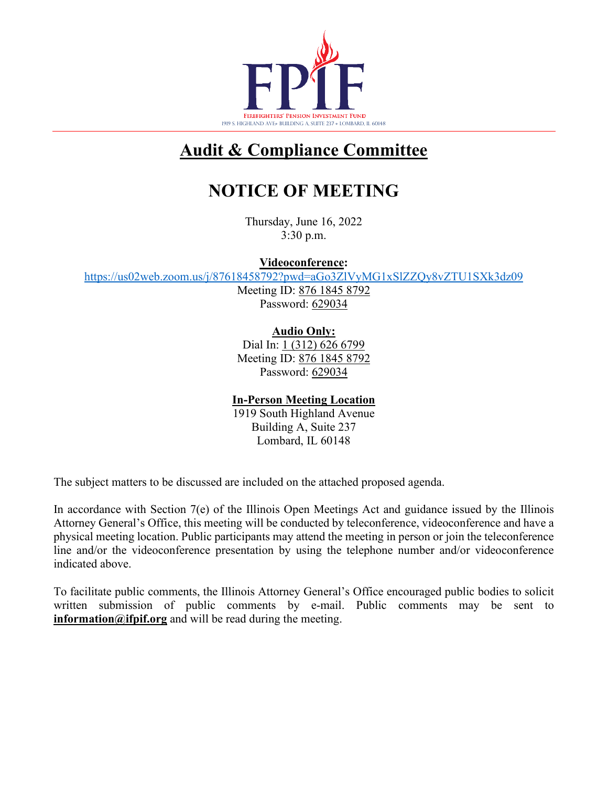

# **Audit & Compliance Committee**

# **NOTICE OF MEETING**

Thursday, June 16, 2022 3:30 p.m.

**Videoconference:**

<https://us02web.zoom.us/j/87618458792?pwd=aGo3ZlVyMG1xSlZZQy8vZTU1SXk3dz09>

Meeting ID: 876 1845 8792 Password: 629034

**Audio Only:**

Dial In: 1 (312) 626 6799 Meeting ID: 876 1845 8792 Password: 629034

### **In-Person Meeting Location**

1919 South Highland Avenue Building A, Suite 237 Lombard, IL 60148

The subject matters to be discussed are included on the attached proposed agenda.

In accordance with Section 7(e) of the Illinois Open Meetings Act and guidance issued by the Illinois Attorney General's Office, this meeting will be conducted by teleconference, videoconference and have a physical meeting location. Public participants may attend the meeting in person or join the teleconference line and/or the videoconference presentation by using the telephone number and/or videoconference indicated above.

To facilitate public comments, the Illinois Attorney General's Office encouraged public bodies to solicit written submission of public comments by e-mail. Public comments may be sent to **information@ifpif.org** and will be read during the meeting.